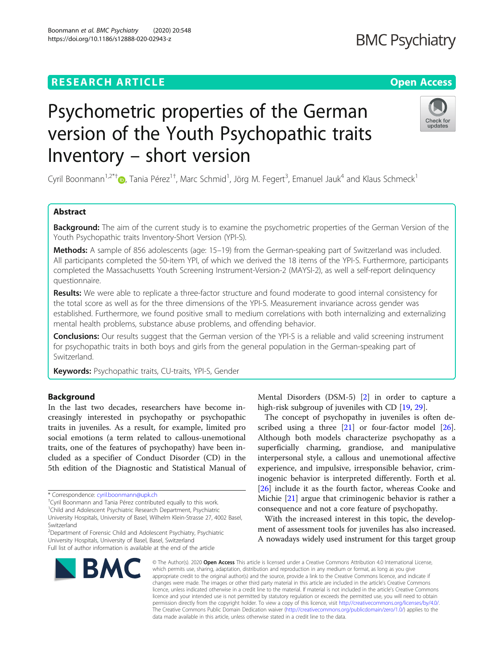# **RESEARCH ARTICLE Example 2014 12:30 The Contract of Contract ACCESS**

# Psychometric properties of the German version of the Youth Psychopathic traits Inventory – short version

Cyril Boonmann<sup>1,2\*[†](http://orcid.org/0000-0002-2862-884X)</sup>®, Tania Pérez<sup>1†</sup>, Marc Schmid<sup>1</sup>, Jörg M. Fegert<sup>3</sup>, Emanuel Jauk<sup>4</sup> and Klaus Schmeck<sup>1</sup>

# Abstract

**Background:** The aim of the current study is to examine the psychometric properties of the German Version of the Youth Psychopathic traits Inventory-Short Version (YPI-S).

Methods: A sample of 856 adolescents (age: 15–19) from the German-speaking part of Switzerland was included. All participants completed the 50-item YPI, of which we derived the 18 items of the YPI-S. Furthermore, participants completed the Massachusetts Youth Screening Instrument-Version-2 (MAYSI-2), as well a self-report delinquency questionnaire.

Results: We were able to replicate a three-factor structure and found moderate to good internal consistency for the total score as well as for the three dimensions of the YPI-S. Measurement invariance across gender was established. Furthermore, we found positive small to medium correlations with both internalizing and externalizing mental health problems, substance abuse problems, and offending behavior.

Conclusions: Our results suggest that the German version of the YPI-S is a reliable and valid screening instrument for psychopathic traits in both boys and girls from the general population in the German-speaking part of Switzerland.

Keywords: Psychopathic traits, CU-traits, YPI-S, Gender

# Background

In the last two decades, researchers have become increasingly interested in psychopathy or psychopathic traits in juveniles. As a result, for example, limited pro social emotions (a term related to callous-unemotional traits, one of the features of psychopathy) have been included as a specifier of Conduct Disorder (CD) in the 5th edition of the Diagnostic and Statistical Manual of

**BMC** 

Full list of author information is available at the end of the article



© The Author(s), 2020 **Open Access** This article is licensed under a Creative Commons Attribution 4.0 International License, which permits use, sharing, adaptation, distribution and reproduction in any medium or format, as long as you give appropriate credit to the original author(s) and the source, provide a link to the Creative Commons licence, and indicate if changes were made. The images or other third party material in this article are included in the article's Creative Commons licence, unless indicated otherwise in a credit line to the material. If material is not included in the article's Creative Commons licence and your intended use is not permitted by statutory regulation or exceeds the permitted use, you will need to obtain permission directly from the copyright holder. To view a copy of this licence, visit [http://creativecommons.org/licenses/by/4.0/.](http://creativecommons.org/licenses/by/4.0/) The Creative Commons Public Domain Dedication waiver [\(http://creativecommons.org/publicdomain/zero/1.0/](http://creativecommons.org/publicdomain/zero/1.0/)) applies to the data made available in this article, unless otherwise stated in a credit line to the data.

Mental Disorders (DSM-5) [\[2](#page-8-0)] in order to capture a

The concept of psychopathy in juveniles is often de-scribed using a three [\[21](#page-8-0)] or four-factor model [\[26](#page-8-0)]. Although both models characterize psychopathy as a superficially charming, grandiose, and manipulative interpersonal style, a callous and unemotional affective experience, and impulsive, irresponsible behavior, criminogenic behavior is interpreted differently. Forth et al. [[26\]](#page-8-0) include it as the fourth factor, whereas Cooke and Michie [[21](#page-8-0)] argue that criminogenic behavior is rather a consequence and not a core feature of psychopathy.

high-risk subgroup of juveniles with CD [\[19](#page-8-0), [29\]](#page-8-0).







<sup>\*</sup> Correspondence: [cyril.boonmann@upk.ch](mailto:cyril.boonmann@upk.ch) †

Cyril Boonmann and Tania Pérez contributed equally to this work.

<sup>&</sup>lt;sup>1</sup>Child and Adolescent Psychiatric Research Department, Psychiatric

University Hospitals, University of Basel, Wilhelm Klein-Strasse 27, 4002 Basel, Switzerland <sup>2</sup> Department of Forensic Child and Adolescent Psychiatry, Psychiatric

University Hospitals, University of Basel, Basel, Switzerland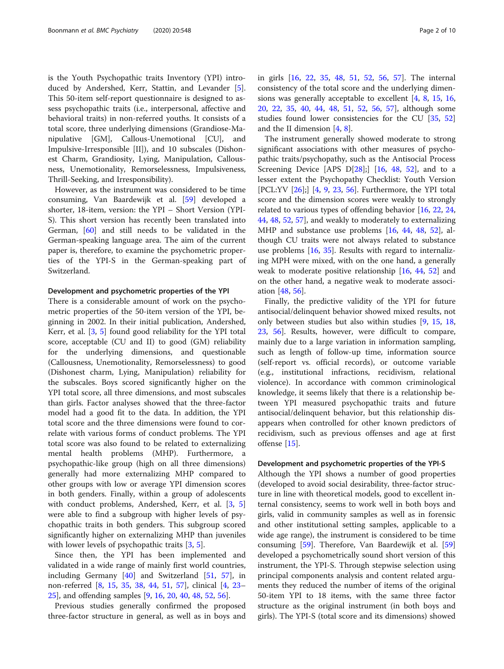is the Youth Psychopathic traits Inventory (YPI) introduced by Andershed, Kerr, Stattin, and Levander [\[5](#page-8-0)]. This 50-item self-report questionnaire is designed to assess psychopathic traits (i.e., interpersonal, affective and behavioral traits) in non-referred youths. It consists of a total score, three underlying dimensions (Grandiose-Manipulative [GM], Callous-Unemotional [CU], and Impulsive-Irresponsible [II]), and 10 subscales (Dishonest Charm, Grandiosity, Lying, Manipulation, Callousness, Unemotionality, Remorselessness, Impulsiveness, Thrill-Seeking, and Irresponsibility).

However, as the instrument was considered to be time consuming, Van Baardewijk et al. [[59](#page-9-0)] developed a shorter, 18-item, version: the YPI – Short Version (YPI-S). This short version has recently been translated into German, [\[60](#page-9-0)] and still needs to be validated in the German-speaking language area. The aim of the current paper is, therefore, to examine the psychometric properties of the YPI-S in the German-speaking part of Switzerland.

#### Development and psychometric properties of the YPI

There is a considerable amount of work on the psychometric properties of the 50-item version of the YPI, beginning in 2002. In their initial publication, Andershed, Kerr, et al. [\[3](#page-8-0), [5\]](#page-8-0) found good reliability for the YPI total score, acceptable (CU and II) to good (GM) reliability for the underlying dimensions, and questionable (Callousness, Unemotionality, Remorselessness) to good (Dishonest charm, Lying, Manipulation) reliability for the subscales. Boys scored significantly higher on the YPI total score, all three dimensions, and most subscales than girls. Factor analyses showed that the three-factor model had a good fit to the data. In addition, the YPI total score and the three dimensions were found to correlate with various forms of conduct problems. The YPI total score was also found to be related to externalizing mental health problems (MHP). Furthermore, a psychopathic-like group (high on all three dimensions) generally had more externalizing MHP compared to other groups with low or average YPI dimension scores in both genders. Finally, within a group of adolescents with conduct problems, Andershed, Kerr, et al. [\[3](#page-8-0), [5](#page-8-0)] were able to find a subgroup with higher levels of psychopathic traits in both genders. This subgroup scored significantly higher on externalizing MHP than juveniles with lower levels of psychopathic traits [\[3](#page-8-0), [5](#page-8-0)].

Since then, the YPI has been implemented and validated in a wide range of mainly first world countries, including Germany [\[40](#page-9-0)] and Switzerland [[51,](#page-9-0) [57](#page-9-0)], in non-referred [[8,](#page-8-0) [15,](#page-8-0) [35](#page-8-0), [38](#page-9-0), [44](#page-9-0), [51,](#page-9-0) [57\]](#page-9-0), clinical [[4](#page-8-0), [23](#page-8-0)– [25\]](#page-8-0), and offending samples [[9,](#page-8-0) [16](#page-8-0), [20](#page-8-0), [40](#page-9-0), [48](#page-9-0), [52](#page-9-0), [56\]](#page-9-0).

Previous studies generally confirmed the proposed three-factor structure in general, as well as in boys and in girls [[16,](#page-8-0) [22,](#page-8-0) [35](#page-8-0), [48,](#page-9-0) [51,](#page-9-0) [52](#page-9-0), [56](#page-9-0), [57\]](#page-9-0). The internal consistency of the total score and the underlying dimensions was generally acceptable to excellent [\[4](#page-8-0), [8](#page-8-0), [15,](#page-8-0) [16](#page-8-0), [20,](#page-8-0) [22](#page-8-0), [35](#page-8-0), [40](#page-9-0), [44,](#page-9-0) [48,](#page-9-0) [51,](#page-9-0) [52](#page-9-0), [56](#page-9-0), [57](#page-9-0)], although some studies found lower consistencies for the CU [[35,](#page-8-0) [52](#page-9-0)] and the II dimension [[4,](#page-8-0) [8\]](#page-8-0).

The instrument generally showed moderate to strong significant associations with other measures of psychopathic traits/psychopathy, such as the Antisocial Process Screening Device [APS  $D[28]$  $D[28]$ ;] [[16](#page-8-0), [48,](#page-9-0) [52\]](#page-9-0), and to a lesser extent the Psychopathy Checklist: Youth Version [PCL:YV [\[26](#page-8-0)];] [\[4](#page-8-0), [9,](#page-8-0) [23](#page-8-0), [56\]](#page-9-0). Furthermore, the YPI total score and the dimension scores were weakly to strongly related to various types of offending behavior [[16,](#page-8-0) [22](#page-8-0), [24](#page-8-0), [44,](#page-9-0) [48](#page-9-0), [52](#page-9-0), [57](#page-9-0)], and weakly to moderately to externalizing MHP and substance use problems [[16,](#page-8-0) [44](#page-9-0), [48,](#page-9-0) [52](#page-9-0)], although CU traits were not always related to substance use problems [[16](#page-8-0), [35\]](#page-8-0). Results with regard to internalizing MPH were mixed, with on the one hand, a generally weak to moderate positive relationship  $[16, 44, 52]$  $[16, 44, 52]$  $[16, 44, 52]$  $[16, 44, 52]$  $[16, 44, 52]$  $[16, 44, 52]$  $[16, 44, 52]$  and on the other hand, a negative weak to moderate association [\[48](#page-9-0), [56](#page-9-0)].

Finally, the predictive validity of the YPI for future antisocial/delinquent behavior showed mixed results, not only between studies but also within studies [\[9](#page-8-0), [15](#page-8-0), [18](#page-8-0), [23,](#page-8-0) [56\]](#page-9-0). Results, however, were difficult to compare, mainly due to a large variation in information sampling, such as length of follow-up time, information source (self-report vs. official records), or outcome variable (e.g., institutional infractions, recidivism, relational violence). In accordance with common criminological knowledge, it seems likely that there is a relationship between YPI measured psychopathic traits and future antisocial/delinquent behavior, but this relationship disappears when controlled for other known predictors of recidivism, such as previous offenses and age at first offense [[15\]](#page-8-0).

## Development and psychometric properties of the YPI-S

Although the YPI shows a number of good properties (developed to avoid social desirability, three-factor structure in line with theoretical models, good to excellent internal consistency, seems to work well in both boys and girls, valid in community samples as well as in forensic and other institutional setting samples, applicable to a wide age range), the instrument is considered to be time consuming [[59](#page-9-0)]. Therefore, Van Baardewijk et al. [[59](#page-9-0)] developed a psychometrically sound short version of this instrument, the YPI-S. Through stepwise selection using principal components analysis and content related arguments they reduced the number of items of the original 50-item YPI to 18 items, with the same three factor structure as the original instrument (in both boys and girls). The YPI-S (total score and its dimensions) showed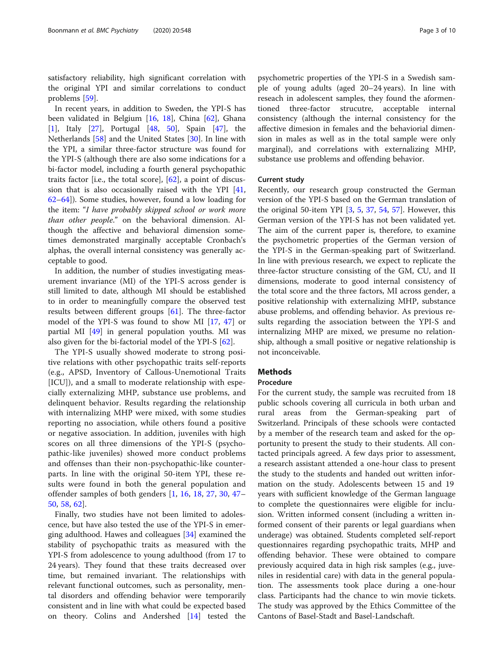satisfactory reliability, high significant correlation with the original YPI and similar correlations to conduct problems [[59\]](#page-9-0).

In recent years, in addition to Sweden, the YPI-S has been validated in Belgium [[16](#page-8-0), [18\]](#page-8-0), China [[62\]](#page-9-0), Ghana [[1\]](#page-8-0), Italy [\[27](#page-8-0)], Portugal [[48,](#page-9-0) [50\]](#page-9-0), Spain [\[47](#page-9-0)], the Netherlands [[58\]](#page-9-0) and the United States [\[30](#page-8-0)]. In line with the YPI, a similar three-factor structure was found for the YPI-S (although there are also some indications for a bi-factor model, including a fourth general psychopathic traits factor [i.e., the total score],  $[62]$  $[62]$ , a point of discussion that is also occasionally raised with the YPI [[41](#page-9-0), [62](#page-9-0)–[64](#page-9-0)]). Some studies, however, found a low loading for the item: "I have probably skipped school or work more than other people." on the behavioral dimension. Although the affective and behavioral dimension sometimes demonstrated marginally acceptable Cronbach's alphas, the overall internal consistency was generally acceptable to good.

In addition, the number of studies investigating measurement invariance (MI) of the YPI-S across gender is still limited to date, although MI should be established to in order to meaningfully compare the observed test results between different groups [[61](#page-9-0)]. The three-factor model of the YPI-S was found to show MI [\[17](#page-8-0), [47](#page-9-0)] or partial MI [[49](#page-9-0)] in general population youths. MI was also given for the bi-factorial model of the YPI-S [\[62](#page-9-0)].

The YPI-S usually showed moderate to strong positive relations with other psychopathic traits self-reports (e.g., APSD, Inventory of Callous-Unemotional Traits [ICU]), and a small to moderate relationship with especially externalizing MHP, substance use problems, and delinquent behavior. Results regarding the relationship with internalizing MHP were mixed, with some studies reporting no association, while others found a positive or negative association. In addition, juveniles with high scores on all three dimensions of the YPI-S (psychopathic-like juveniles) showed more conduct problems and offenses than their non-psychopathic-like counterparts. In line with the original 50-item YPI, these results were found in both the general population and offender samples of both genders [[1,](#page-8-0) [16](#page-8-0), [18,](#page-8-0) [27,](#page-8-0) [30](#page-8-0), [47](#page-9-0)– [50,](#page-9-0) [58,](#page-9-0) [62](#page-9-0)].

Finally, two studies have not been limited to adolescence, but have also tested the use of the YPI-S in emerging adulthood. Hawes and colleagues [\[34](#page-8-0)] examined the stability of psychopathic traits as measured with the YPI-S from adolescence to young adulthood (from 17 to 24 years). They found that these traits decreased over time, but remained invariant. The relationships with relevant functional outcomes, such as personality, mental disorders and offending behavior were temporarily consistent and in line with what could be expected based on theory. Colins and Andershed [\[14](#page-8-0)] tested the

psychometric properties of the YPI-S in a Swedish sample of young adults (aged 20–24 years). In line with reseach in adolescent samples, they found the aformentioned three-factor strucutre, acceptable internal consistency (although the internal consistency for the affective dimesion in females and the behaviorial dimension in males as well as in the total sample were only marginal), and correlations with externalizing MHP, substance use problems and offending behavior.

# Current study

Recently, our research group constructed the German version of the YPI-S based on the German translation of the original [5](#page-8-0)0-item YPI  $[3, 5, 37, 54, 57]$  $[3, 5, 37, 54, 57]$  $[3, 5, 37, 54, 57]$  $[3, 5, 37, 54, 57]$  $[3, 5, 37, 54, 57]$  $[3, 5, 37, 54, 57]$  $[3, 5, 37, 54, 57]$  $[3, 5, 37, 54, 57]$  $[3, 5, 37, 54, 57]$ . However, this German version of the YPI-S has not been validated yet. The aim of the current paper is, therefore, to examine the psychometric properties of the German version of the YPI-S in the German-speaking part of Switzerland. In line with previous research, we expect to replicate the three-factor structure consisting of the GM, CU, and II dimensions, moderate to good internal consistency of the total score and the three factors, MI across gender, a positive relationship with externalizing MHP, substance abuse problems, and offending behavior. As previous results regarding the association between the YPI-S and internalizing MHP are mixed, we presume no relationship, although a small positive or negative relationship is not inconceivable.

# Methods

# Procedure

For the current study, the sample was recruited from 18 public schools covering all curricula in both urban and rural areas from the German-speaking part of Switzerland. Principals of these schools were contacted by a member of the research team and asked for the opportunity to present the study to their students. All contacted principals agreed. A few days prior to assessment, a research assistant attended a one-hour class to present the study to the students and handed out written information on the study. Adolescents between 15 and 19 years with sufficient knowledge of the German language to complete the questionnaires were eligible for inclusion. Written informed consent (including a written informed consent of their parents or legal guardians when underage) was obtained. Students completed self-report questionnaires regarding psychopathic traits, MHP and offending behavior. These were obtained to compare previously acquired data in high risk samples (e.g., juveniles in residential care) with data in the general population. The assessments took place during a one-hour class. Participants had the chance to win movie tickets. The study was approved by the Ethics Committee of the Cantons of Basel-Stadt and Basel-Landschaft.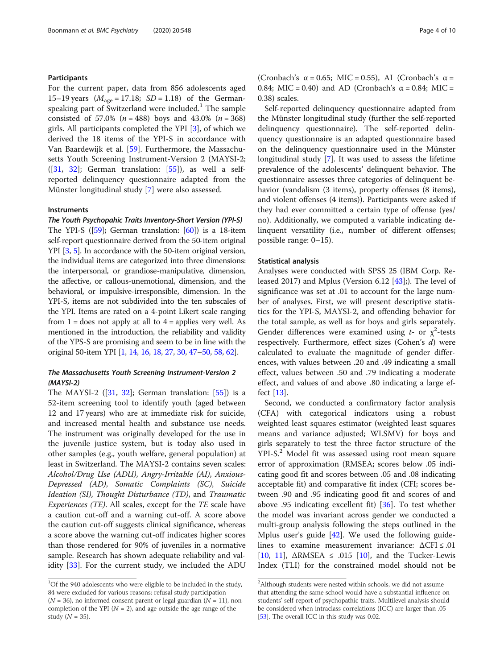# **Participants**

For the current paper, data from 856 adolescents aged 15–19 years  $(M_{\text{age}} = 17.18; SD = 1.18)$  of the Germanspeaking part of Switzerland were included.<sup>1</sup> The sample consisted of 57.0% ( $n = 488$ ) boys and 43.0% ( $n = 368$ ) girls. All participants completed the YPI [[3\]](#page-8-0), of which we derived the 18 items of the YPI-S in accordance with Van Baardewijk et al. [[59\]](#page-9-0). Furthermore, the Massachusetts Youth Screening Instrument-Version 2 (MAYSI-2;  $([31, 32]$  $([31, 32]$  $([31, 32]$  $([31, 32]$ ; German translation:  $[55]$  $[55]$ ), as well a selfreported delinquency questionnaire adapted from the Münster longitudinal study [\[7](#page-8-0)] were also assessed.

# Instruments

The YPI-S ([\[59](#page-9-0)]; German translation: [[60](#page-9-0)]) is a 18-item self-report questionnaire derived from the 50-item original YPI [\[3,](#page-8-0) [5\]](#page-8-0). In accordance with the 50-item original version, the individual items are categorized into three dimensions: the interpersonal, or grandiose-manipulative, dimension, the affective, or callous-unemotional, dimension, and the behavioral, or impulsive-irresponsible, dimension. In the YPI-S, items are not subdivided into the ten subscales of the YPI. Items are rated on a 4-point Likert scale ranging from  $1 =$  does not apply at all to  $4 =$  applies very well. As mentioned in the introduction, the reliability and validity of the YPS-S are promising and seem to be in line with the original 50-item YPI [\[1,](#page-8-0) [14,](#page-8-0) [16](#page-8-0), [18](#page-8-0), [27,](#page-8-0) [30,](#page-8-0) [47](#page-9-0)–[50](#page-9-0), [58,](#page-9-0) [62\]](#page-9-0).

# The Massachusetts Youth Screening Instrument-Version 2

.<br>The MAYSI-2 ([\[31](#page-8-0), [32\]](#page-8-0); German translation: [[55](#page-9-0)]) is a 52-item screening tool to identify youth (aged between 12 and 17 years) who are at immediate risk for suicide, and increased mental health and substance use needs. The instrument was originally developed for the use in the juvenile justice system, but is today also used in other samples (e.g., youth welfare, general population) at least in Switzerland. The MAYSI-2 contains seven scales: Alcohol/Drug Use (ADU), Angry-Irritable (AI), Anxious-Depressed (AD), Somatic Complaints (SC), Suicide Ideation (SI), Thought Disturbance (TD), and Traumatic Experiences (TE). All scales, except for the TE scale have a caution cut-off and a warning cut-off. A score above the caution cut-off suggests clinical significance, whereas a score above the warning cut-off indicates higher scores than those rendered for 90% of juveniles in a normative sample. Research has shown adequate reliability and validity [[33\]](#page-8-0). For the current study, we included the ADU

(Cronbach's  $\alpha = 0.65$ ; MIC = 0.55), AI (Cronbach's  $\alpha =$ 0.84; MIC = 0.40) and AD (Cronbach's  $\alpha$  = 0.84; MIC = 0.38) scales.

Self-reported delinquency questionnaire adapted from the Münster longitudinal study (further the self-reported delinquency questionnaire). The self-reported delinquency questionnaire is an adapted questionnaire based on the delinquency questionnaire used in the Münster longitudinal study [\[7](#page-8-0)]. It was used to assess the lifetime prevalence of the adolescents' delinquent behavior. The questionnaire assesses three categories of delinquent behavior (vandalism (3 items), property offenses (8 items), and violent offenses (4 items)). Participants were asked if they had ever committed a certain type of offense (yes/ no). Additionally, we computed a variable indicating delinquent versatility (i.e., number of different offenses; possible range: 0–15).

### Statistical analysis

Analyses were conducted with SPSS 25 (IBM Corp. Released 2017) and Mplus (Version 6.12 [\[43](#page-9-0)];). The level of significance was set at .01 to account for the large number of analyses. First, we will present descriptive statistics for the YPI-S, MAYSI-2, and offending behavior for the total sample, as well as for boys and girls separately. Gender differences were examined using  $t$ - or  $\chi^2$ -tests respectively. Furthermore, effect sizes (Cohen's d) were calculated to evaluate the magnitude of gender differences, with values between .20 and .49 indicating a small effect, values between .50 and .79 indicating a moderate effect, and values of and above .80 indicating a large effect [[13](#page-8-0)].

Second, we conducted a confirmatory factor analysis (CFA) with categorical indicators using a robust weighted least squares estimator (weighted least squares means and variance adjusted; WLSMV) for boys and girls separately to test the three factor structure of the YPI-S.<sup>2</sup> Model fit was assessed using root mean square error of approximation (RMSEA; scores below .05 indicating good fit and scores between .05 and .08 indicating acceptable fit) and comparative fit index (CFI; scores between .90 and .95 indicating good fit and scores of and above .95 indicating excellent fit) [[36\]](#page-8-0). To test whether the model was invariant across gender we conducted a multi-group analysis following the steps outlined in the Mplus user's guide  $[42]$ . We used the following guidelines to examine measurement invariance:  $\Delta$ CFI  $\leq$  .01 [[10,](#page-8-0) [11\]](#page-8-0),  $\triangle$ RMSEA  $\leq$  .015 [[10](#page-8-0)], and the Tucker-Lewis Index (TLI) for the constrained model should not be

 $1$ Of the 940 adolescents who were eligible to be included in the study, 84 were excluded for various reasons: refusal study participation ( $N = 36$ ), no informed consent parent or legal guardian ( $N = 11$ ), noncompletion of the YPI ( $N = 2$ ), and age outside the age range of the study ( $N = 35$ ).

<sup>&</sup>lt;sup>2</sup>Although students were nested within schools, we did not assume that attending the same school would have a substantial influence on students' self-report of psychopathic traits. Multilevel analysis should be considered when intraclass correlations (ICC) are larger than .05 [\[53](#page-9-0)]. The overall ICC in this study was 0.02.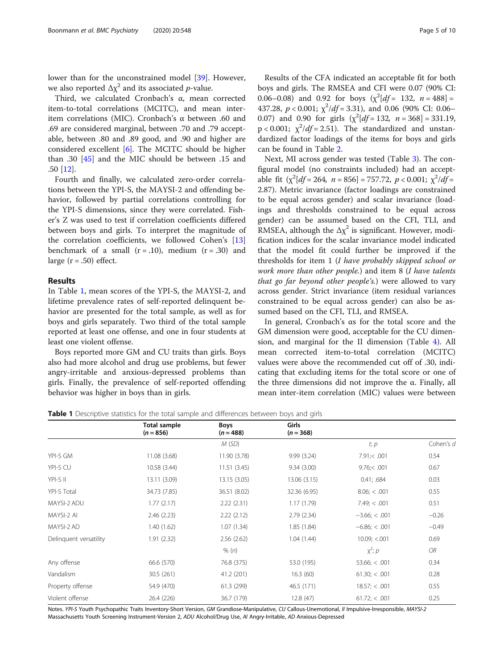lower than for the unconstrained model [[39\]](#page-9-0). However, we also reported  $\Delta \chi^2$  and its associated *p*-value.

Third, we calculated Cronbach's α, mean corrected item-to-total correlations (MCITC), and mean interitem correlations (MIC). Cronbach's α between .60 and .69 are considered marginal, between .70 and .79 acceptable, between .80 and .89 good, and .90 and higher are considered excellent [\[6](#page-8-0)]. The MCITC should be higher than .30 [[45\]](#page-9-0) and the MIC should be between .15 and .50 [[12\]](#page-8-0).

Fourth and finally, we calculated zero-order correlations between the YPI-S, the MAYSI-2 and offending behavior, followed by partial correlations controlling for the YPI-S dimensions, since they were correlated. Fisher's Z was used to test if correlation coefficients differed between boys and girls. To interpret the magnitude of the correlation coefficients, we followed Cohen's [[13](#page-8-0)] benchmark of a small  $(r = .10)$ , medium  $(r = .30)$  and large  $(r = .50)$  effect.

# Results

In Table 1, mean scores of the YPI-S, the MAYSI-2, and lifetime prevalence rates of self-reported delinquent behavior are presented for the total sample, as well as for boys and girls separately. Two third of the total sample reported at least one offense, and one in four students at least one violent offense.

Boys reported more GM and CU traits than girls. Boys also had more alcohol and drug use problems, but fewer angry-irritable and anxious-depressed problems than girls. Finally, the prevalence of self-reported offending behavior was higher in boys than in girls.

Results of the CFA indicated an acceptable fit for both boys and girls. The RMSEA and CFI were 0.07 (90% CI: 0.06–0.08) and 0.92 for boys  $(\chi^2 \mid df = 132, n = 488)$  = 437.28,  $p < 0.001$ ;  $\chi^2/df = 3.31$ ), and 0.06 (90% CI: 0.06– 0.07) and 0.90 for girls  $(\chi^2[df = 132, n = 368] = 331.19,$  $p < 0.001$ ;  $\chi^2/df = 2.51$ ). The standardized and unstandardized factor loadings of the items for boys and girls can be found in Table [2.](#page-5-0)

Next, MI across gender was tested (Table [3](#page-5-0)). The configural model (no constraints included) had an acceptable fit  $(\chi^2[df = 264, n = 856] = 757.72, p < 0.001; \chi^2(df = 0.001)$ 2.87). Metric invariance (factor loadings are constrained to be equal across gender) and scalar invariance (loadings and thresholds constrained to be equal across gender) can be assumed based on the CFI, TLI, and RMSEA, although the  $\Delta \chi^2$  is significant. However, modification indices for the scalar invariance model indicated that the model fit could further be improved if the thresholds for item 1 (I have probably skipped school or work more than other people.) and item 8 (I have talents that go far beyond other people's.) were allowed to vary across gender. Strict invariance (item residual variances constrained to be equal across gender) can also be assumed based on the CFI, TLI, and RMSEA.

In general, Cronbach's αs for the total score and the GM dimension were good, acceptable for the CU dimension, and marginal for the II dimension (Table [4\)](#page-5-0). All mean corrected item-to-total correlation (MCITC) values were above the recommended cut off of .30, indicating that excluding items for the total score or one of the three dimensions did not improve the α. Finally, all mean inter-item correlation (MIC) values were between

**Table 1** Descriptive statistics for the total sample and differences between boys and girls

|                        | Total sample<br>$(n = 856)$ | <b>Boys</b><br>$(n = 488)$ | Girls<br>$(n = 368)$ |                    |           |
|------------------------|-----------------------------|----------------------------|----------------------|--------------------|-----------|
|                        |                             | M(SD)                      |                      | $t$ ; $p$          | Cohen's d |
| YPI-S GM               | 11.08 (3.68)                | 11.90 (3.78)               | 9.99 (3.24)          | $7.91 \times .001$ | 0.54      |
| YPI-S CU               | 10.58 (3.44)                | 11.51(3.45)                | 9.34(3.00)           | 9.76 < .001        | 0.67      |
| YPI-S II               | 13.11 (3.09)                | 13.15 (3.05)               | 13.06 (3.15)         | 0.41; .684         | 0.03      |
| YPI-S Total            | 34.73 (7.85)                | 36.51 (8.02)               | 32.36 (6.95)         | $8.06$ ; < .001    | 0.55      |
| MAYSI-2 ADU            | 1.77(2.17)                  | 2.22(2.31)                 | 1.17(1.79)           | 7.49<.001          | 0.51      |
| MAYSI-2 AI             | 2.46(2.23)                  | 2.22(2.12)                 | 2.79(2.34)           | $-3.66$ ; < .001   | $-0.26$   |
| MAYSI-2 AD             | 1.40(1.62)                  | 1.07(1.34)                 | 1.85(1.84)           | $-6.86$ ; < .001   | $-0.49$   |
| Delinquent versatility | 1.91(2.32)                  | 2.56(2.62)                 | 1.04(1.44)           | 10.09; < .001      | 0.69      |
|                        |                             | % (n)                      |                      | $x^2$ ; $p$        | OR        |
| Any offense            | 66.6 (570)                  | 76.8 (375)                 | 53.0 (195)           | $53.66$ ; < .001   | 0.34      |
| Vandalism              | 30.5 (261)                  | 41.2 (201)                 | 16.3(60)             | 61.30; < .001      | 0.28      |
| Property offense       | 54.9 (470)                  | 61.3 (299)                 | 46.5 (171)           | 18.57; < .001      | 0.55      |
| Violent offense        | 26.4 (226)                  | 36.7 (179)                 | 12.8(47)             | 61.72; < .001      | 0.25      |

Notes. YPI-S Youth Psychopathic Traits Inventory-Short Version, GM Grandiose-Manipulative, CU Callous-Unemotional, II Impulsive-Irresponsible, MAYSI-2 Massachusetts Youth Screening Instrument-Version 2, ADU Alcohol/Drug Use, AI Angry-Irritable, AD Anxious-Depressed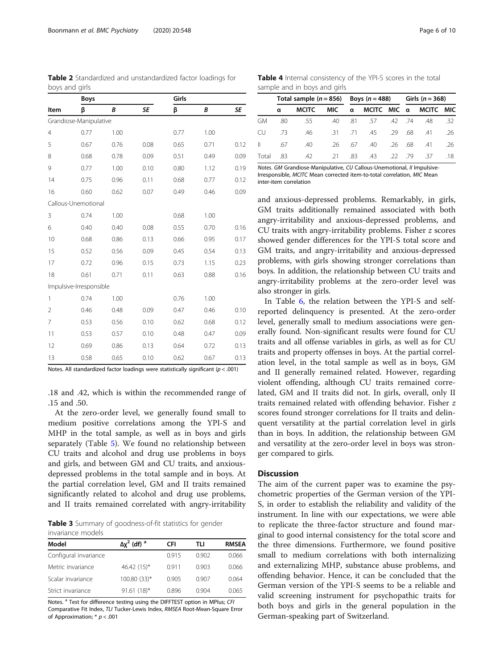13 0.58 0.65 0.10 0.62 0.67 0.13 Notes. All standardized factor loadings were statistically significant ( $p < .001$ )

2 0.46 0.48 0.09 0.47 0.46 0.10 7 0.53 0.56 0.10 0.62 0.68 0.12 11 0.53 0.57 0.10 0.48 0.47 0.09 12 0.69 0.86 0.13 0.64 0.72 0.13

.18 and .42, which is within the recommended range of .15 and .50.

At the zero-order level, we generally found small to medium positive correlations among the YPI-S and MHP in the total sample, as well as in boys and girls separately (Table [5\)](#page-6-0). We found no relationship between CU traits and alcohol and drug use problems in boys and girls, and between GM and CU traits, and anxiousdepressed problems in the total sample and in boys. At the partial correlation level, GM and II traits remained significantly related to alcohol and drug use problems, and II traits remained correlated with angry-irritability

Table 3 Summary of goodness-of-fit statistics for gender invariance models

| Model                 | $\Delta \chi^2$ (df) $^a$ | <b>CFI</b> | TLI   | <b>RMSEA</b> |
|-----------------------|---------------------------|------------|-------|--------------|
| Configural invariance |                           | 0.915      | 0.902 | 0.066        |
| Metric invariance     | 46.42 $(15)*$             | 0.911      | 0.903 | 0.066        |
| Scalar invariance     | 100.80 (33)*              | 0.905      | 0.907 | 0.064        |
| Strict invariance     | $91.61(18)*$              | 0.896      | 0.904 | 0.065        |

Notes.<sup>a</sup> Test for difference testing using the DIFFTEST option in MPlus; CFI Comparative Fit Index, TLI Tucker-Lewis Index, RMSEA Root-Mean-Square Error of Approximation; \* p < .001

Table 4 Internal consistency of the YPI-S scores in the total sample and in boys and girls

|       |                |              |         |      |                         | Total sample $(n = 856)$ Boys $(n = 488)$ Girls $(n = 368)$ |             |     |  |  |
|-------|----------------|--------------|---------|------|-------------------------|-------------------------------------------------------------|-------------|-----|--|--|
|       | α              | <b>MCITC</b> | MIC     |      | α MCITC MIC α MCITC MIC |                                                             |             |     |  |  |
| GМ    | .80            | .55          |         |      | .40 .81 .57 .42 .74 .48 |                                                             |             | .32 |  |  |
| CU    | .73            | .46          |         |      | 31 71 45 29 68 41       |                                                             |             | .26 |  |  |
|       | $\parallel$ 67 | .40          |         |      | .26 .67 .40 .26 .68 .41 |                                                             |             | .26 |  |  |
| Total | .83            | .42          | $.21 -$ | - 83 |                         |                                                             | 43 22 79 37 | .18 |  |  |

Notes. GM Grandiose-Manipulative, CU Callous-Unemotional, II Impulsive-Irresponsible, MCITC Mean corrected item-to-total correlation, MIC Mean inter-item correlation

and anxious-depressed problems. Remarkably, in girls, GM traits additionally remained associated with both angry-irritability and anxious-depressed problems, and CU traits with angry-irritability problems. Fisher z scores showed gender differences for the YPI-S total score and GM traits, and angry-irritability and anxious-depressed problems, with girls showing stronger correlations than boys. In addition, the relationship between CU traits and angry-irritability problems at the zero-order level was also stronger in girls.

In Table [6](#page-6-0), the relation between the YPI-S and selfreported delinquency is presented. At the zero-order level, generally small to medium associations were generally found. Non-significant results were found for CU traits and all offense variables in girls, as well as for CU traits and property offenses in boys. At the partial correlation level, in the total sample as well as in boys, GM and II generally remained related. However, regarding violent offending, although CU traits remained correlated, GM and II traits did not. In girls, overall, only II traits remained related with offending behavior. Fisher z scores found stronger correlations for II traits and delinquent versatility at the partial correlation level in girls than in boys. In addition, the relationship between GM and versatility at the zero-order level in boys was stronger compared to girls.

# **Discussion**

The aim of the current paper was to examine the psychometric properties of the German version of the YPI-S, in order to establish the reliability and validity of the instrument. In line with our expectations, we were able to replicate the three-factor structure and found marginal to good internal consistency for the total score and the three dimensions. Furthermore, we found positive small to medium correlations with both internalizing and externalizing MHP, substance abuse problems, and offending behavior. Hence, it can be concluded that the German version of the YPI-S seems to be a reliable and valid screening instrument for psychopathic traits for both boys and girls in the general population in the German-speaking part of Switzerland.

boys and girls

Grandiose-Manipulative

Callous-Unemotional

Impulsive-Irresponsible

<span id="page-5-0"></span>Table 2 Standardized and unstandardized factor loadings for

Item β B SE β B SE

5 0.67 0.76 0.08 0.65 0.71 0.12 8 0.68 0.78 0.09 0.51 0.49 0.09 9 0.77 1.00 0.10 0.80 1.12 0.19 14 0.75 0.96 0.11 0.68 0.77 0.12 16 0.60 0.62 0.07 0.49 0.46 0.09

6 0.40 0.40 0.08 0.55 0.70 0.16 10 0.68 0.86 0.13 0.66 0.95 0.17 15 0.52 0.56 0.09 0.45 0.54 0.13 17 0.72 0.96 0.15 0.73 1.15 0.23 18 0.61 0.71 0.11 0.63 0.88 0.16

Boys Girls

4 0.77 1.00 0.77 1.00

3 0.74 1.00 0.68 1.00

1 0.74 1.00 0.76 1.00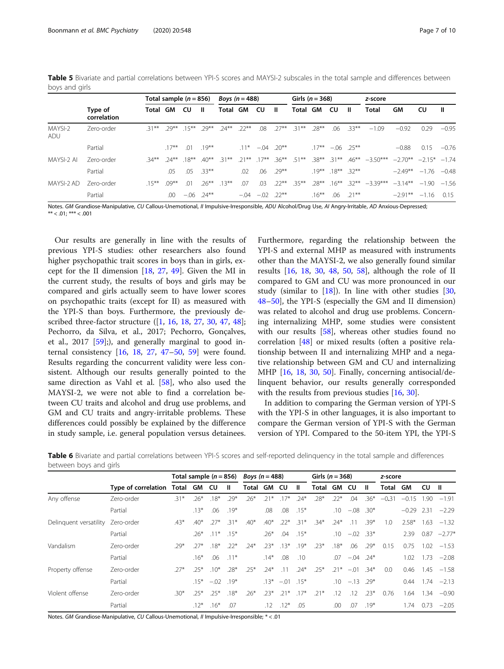<span id="page-6-0"></span>

| <b>Table 5</b> Bivariate and partial correlations between YPI-S scores and MAYSI-2 subscales in the total sample and differences between |  |  |  |  |
|------------------------------------------------------------------------------------------------------------------------------------------|--|--|--|--|
| boys and girls                                                                                                                           |  |  |  |  |

|                |                        |                 | Total sample $(n = 856)$ |           |          | Boys ( $n = 488$ ) |          |         |           | Girls ( $n = 368$ ) |          |          |                          | z-score    |                     |         |         |  |
|----------------|------------------------|-----------------|--------------------------|-----------|----------|--------------------|----------|---------|-----------|---------------------|----------|----------|--------------------------|------------|---------------------|---------|---------|--|
|                | Type of<br>correlation | <b>Total GM</b> |                          | <b>CU</b> | Ш        | Total GM           |          | CU      | <b>II</b> | Total               | GM       | CU.      | H                        | Total      | GM                  | CU      | Ш       |  |
| MAYSI-2<br>ADU | Zero-order             | $31***$         | $79***$                  | $.15***$  | $29***$  | $24***$            | $.22***$ | .08     | $.27***$  | $.31***$            | $.28***$ | .06      | $.33***$                 | $-1.09$    | $-0.92$             | 0.29    | $-0.95$ |  |
|                | Partial                |                 | $.17***$                 | .01       | $19***$  |                    | $11*$    | $-04$   | $20***$   |                     |          |          | $.17***$ $-.06$ $.25***$ |            | $-0.88$             | 0.15    | $-0.76$ |  |
| MAYSI-2 AI     | Zero-order             | $34**$          | $74***$                  | $-18**$   | $.40**$  | $.31***$           | $21***$  | $17***$ | $.36***$  | $51***$             | $.38***$ | $.31***$ | $.46***$                 | $-3.50***$ | $-2.70***$ $-2.15*$ |         | $-1.74$ |  |
|                | Partial                |                 | .05                      | .05       | $.33***$ |                    | .02      | .06     | $.29***$  |                     | $.19***$ | $.18***$ | $32**$                   |            | $-2.49**$           | $-1.76$ | $-0.48$ |  |
| MAYSI-2 AD     | 7ero-order             | $15***$         | $.09***$                 | .01       | $.26***$ | $.13***$           | .07      | .03     | $.22***$  | $.35***$            | $.28***$ | $.16***$ | $32**$                   | $-3.39***$ | $-3.14***$          | $-1.90$ | $-1.56$ |  |
|                | Partial                |                 | .00                      | $-.06$    | $.24***$ |                    | $-.04$   | $-.02$  | $22**$    |                     | $.16***$ | .06      | $.21***$                 |            | $-2.91**$           | $-1.16$ | 0.15    |  |

Notes. GM Grandiose-Manipulative, CU Callous-Unemotional, II Impulsive-Irresponsible, ADU Alcohol/Drug Use, AI Angry-Irritable, AD Anxious-Depressed; \*\*  $< 0.01$ ; \*\*\*  $< 0.001$ 

Our results are generally in line with the results of previous YPI-S studies: other researchers also found higher psychopathic trait scores in boys than in girls, except for the II dimension [\[18](#page-8-0), [27](#page-8-0), [49](#page-9-0)]. Given the MI in the current study, the results of boys and girls may be compared and girls actually seem to have lower scores on psychopathic traits (except for II) as measured with the YPI-S than boys. Furthermore, the previously described three-factor structure ([[1,](#page-8-0) [16](#page-8-0), [18](#page-8-0), [27,](#page-8-0) [30](#page-8-0), [47,](#page-9-0) [48](#page-9-0)]; Pechorro, da Silva, et al., 2017; Pechorro, Gonçalves, et al.,  $2017$   $[59]$ ;), and generally marginal to good internal consistency [[16,](#page-8-0) [18](#page-8-0), [27](#page-8-0), [47](#page-9-0)–[50,](#page-9-0) [59](#page-9-0)] were found. Results regarding the concurrent validity were less consistent. Although our results generally pointed to the same direction as Vahl et al. [[58\]](#page-9-0), who also used the MAYSI-2, we were not able to find a correlation between CU traits and alcohol and drug use problems, and GM and CU traits and angry-irritable problems. These differences could possibly be explained by the difference in study sample, i.e. general population versus detainees.

Furthermore, regarding the relationship between the YPI-S and external MHP as measured with instruments other than the MAYSI-2, we also generally found similar results [\[16,](#page-8-0) [18](#page-8-0), [30,](#page-8-0) [48](#page-9-0), [50,](#page-9-0) [58](#page-9-0)], although the role of II compared to GM and CU was more pronounced in our study (similar to  $[18]$  $[18]$ ). In line with other studies  $[30, 10]$  $[30, 10]$  $[30, 10]$ [48](#page-9-0)–[50](#page-9-0)], the YPI-S (especially the GM and II dimension) was related to alcohol and drug use problems. Concerning internalizing MHP, some studies were consistent with our results [\[58](#page-9-0)], whereas other studies found no correlation [[48](#page-9-0)] or mixed results (often a positive relationship between II and internalizing MHP and a negative relationship between GM and CU and internalizing MHP [\[16,](#page-8-0) [18,](#page-8-0) [30,](#page-8-0) [50\]](#page-9-0). Finally, concerning antisocial/delinquent behavior, our results generally corresponded with the results from previous studies [[16](#page-8-0), [30](#page-8-0)].

In addition to comparing the German version of YPI-S with the YPI-S in other languages, it is also important to compare the German version of YPI-S with the German version of YPI. Compared to the 50-item YPI, the YPI-S

Table 6 Bivariate and partial correlations between YPI-S scores and self-reported delinquency in the total sample and differences between boys and girls

|                                   | Type of correlation | Total sample $(n = 856)$ |        |        | Boys (n = 488) |          |        |        | Girls ( $n = 368$ ) |        |              |             | z-score |              |         |           |               |
|-----------------------------------|---------------------|--------------------------|--------|--------|----------------|----------|--------|--------|---------------------|--------|--------------|-------------|---------|--------------|---------|-----------|---------------|
|                                   |                     | Total GM CU              |        |        | Ш              | Total GM |        | CU     | $\mathbf{I}$        | Total  | <b>GM CU</b> |             | Ш       | <b>Total</b> | GМ      | <b>CU</b> | - 11          |
| Any offense                       | Zero-order          | $.31*$                   | $.26*$ | $.18*$ | $.29*$         | $.26*$   | $.21*$ | $17*$  | $.24*$              | $.28*$ | $.22*$       | .04         | $.36*$  | $-0.31$      | $-0.15$ | 1.90      | $-1.91$       |
|                                   | Partial             |                          | $.13*$ | .06    | $.19*$         |          | .08    | .08    | $.15*$              |        | .10          | $-.08$      | $.30*$  |              | $-0.29$ | 2.31      | $-2.29$       |
| Delinguent versatility Zero-order |                     | $.43*$                   | $.40*$ | $.27*$ | $.31*$         | $.40*$   | $.40*$ | $.22*$ | $.31*$              | $.34*$ | $.24*$       | .11         | $.39*$  | 1.0          | $2.58*$ | 1.63      | $-1.32$       |
|                                   | Partial             |                          | $.26*$ | $.11*$ | $.15*$         |          | $.26*$ | .04    | $.15*$              |        | .10          | $-.02$ .33* |         |              | 2.39    |           | $0.87 -2.77*$ |
| Vandalism                         | Zero-order          | $.29*$                   | $.27*$ | $.18*$ | $.22*$         | $.24*$   | $.23*$ | $.13*$ | $.19*$              | $.23*$ | $.18*$       | .06         | $.29*$  | 0.15         | 0.75    | 1.02      | $-1.53$       |
|                                   | Partial             |                          | $.16*$ | .06    | $.11*$         |          | $.14*$ | .08    | .10                 |        | .07          | $-.04$      | $.24*$  |              | 1.02    |           | $1.73 - 2.08$ |
| Property offense                  | Zero-order          | $.27*$                   | $.25*$ | $.10*$ | $.28*$         | $.25*$   | $.24*$ | .11    | $.24*$              | $.25*$ | $.21*$       | $-.01$ .34* |         | 0.0          | 0.46    | 1.45      | $-1.58$       |
|                                   | Partial             |                          | $.15*$ | $-.02$ | $.19*$         |          | $.13*$ | $-.01$ | $.15*$              |        | .10          | $-.13$ .29* |         |              | 0.44    |           | $1.74 -2.13$  |
| Violent offense                   | Zero-order          | $.30*$                   | $.25*$ | $.25*$ | $.18*$         | $.26*$   | $.23*$ | $.21*$ | $.17*$              | $.21*$ | .12          | .12         | $.23*$  | 0.76         | .64     | 1.34      | $-0.90$       |
|                                   | Partial             |                          | $12*$  | $.16*$ | .07            |          | .12    | $.12*$ | .05                 |        | .00          | .07         | $.19*$  |              | 1.74    | 0.73      | $-2.05$       |

Notes. GM Grandiose-Manipulative, CU Callous-Unemotional, II Impulsive-Irresponsible; \* < .01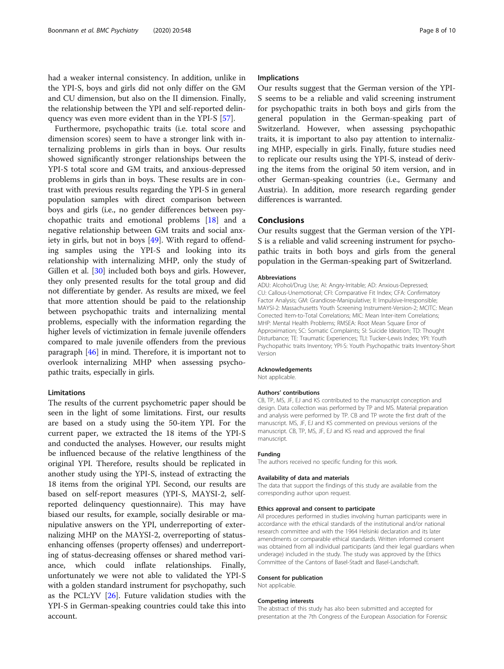had a weaker internal consistency. In addition, unlike in the YPI-S, boys and girls did not only differ on the GM and CU dimension, but also on the II dimension. Finally, the relationship between the YPI and self-reported delinquency was even more evident than in the YPI-S [[57\]](#page-9-0).

Furthermore, psychopathic traits (i.e. total score and dimension scores) seem to have a stronger link with internalizing problems in girls than in boys. Our results showed significantly stronger relationships between the YPI-S total score and GM traits, and anxious-depressed problems in girls than in boys. These results are in contrast with previous results regarding the YPI-S in general population samples with direct comparison between boys and girls (i.e., no gender differences between psychopathic traits and emotional problems [[18](#page-8-0)] and a negative relationship between GM traits and social anxiety in girls, but not in boys [[49\]](#page-9-0). With regard to offending samples using the YPI-S and looking into its relationship with internalizing MHP, only the study of Gillen et al. [[30](#page-8-0)] included both boys and girls. However, they only presented results for the total group and did not differentiate by gender. As results are mixed, we feel that more attention should be paid to the relationship between psychopathic traits and internalizing mental problems, especially with the information regarding the higher levels of victimization in female juvenile offenders compared to male juvenile offenders from the previous paragraph [[46\]](#page-9-0) in mind. Therefore, it is important not to overlook internalizing MHP when assessing psychopathic traits, especially in girls.

# Limitations

The results of the current psychometric paper should be seen in the light of some limitations. First, our results are based on a study using the 50-item YPI. For the current paper, we extracted the 18 items of the YPI-S and conducted the analyses. However, our results might be influenced because of the relative lengthiness of the original YPI. Therefore, results should be replicated in another study using the YPI-S, instead of extracting the 18 items from the original YPI. Second, our results are based on self-report measures (YPI-S, MAYSI-2, selfreported delinquency questionnaire). This may have biased our results, for example, socially desirable or manipulative answers on the YPI, underreporting of externalizing MHP on the MAYSI-2, overreporting of statusenhancing offenses (property offenses) and underreporting of status-decreasing offenses or shared method variance, which could inflate relationships. Finally, unfortunately we were not able to validated the YPI-S with a golden standard instrument for psychopathy, such as the PCL:YV [\[26\]](#page-8-0). Future validation studies with the YPI-S in German-speaking countries could take this into account.

### Implications

Our results suggest that the German version of the YPI-S seems to be a reliable and valid screening instrument for psychopathic traits in both boys and girls from the general population in the German-speaking part of Switzerland. However, when assessing psychopathic traits, it is important to also pay attention to internalizing MHP, especially in girls. Finally, future studies need to replicate our results using the YPI-S, instead of deriving the items from the original 50 item version, and in other German-speaking countries (i.e., Germany and Austria). In addition, more research regarding gender differences is warranted.

# **Conclusions**

Our results suggest that the German version of the YPI-S is a reliable and valid screening instrument for psychopathic traits in both boys and girls from the general population in the German-speaking part of Switzerland.

#### Abbreviations

ADU: Alcohol/Drug Use; AI: Angry-Irritable; AD: Anxious-Depressed; CU: Callous-Unemotional; CFI: Comparative Fit Index; CFA: Confirmatory Factor Analysis; GM: Grandiose-Manipulative; II: Impulsive-Irresponsible; MAYSI-2: Massachusetts Youth Screening Instrument-Version-2; MCITC: Mean Corrected Item-to-Total Correlations; MIC: Mean Inter-item Correlations; MHP: Mental Health Problems; RMSEA: Root Mean Square Error of Approximation; SC: Somatic Complaints; SI: Suicide Ideation; TD: Thought Disturbance; TE: Traumatic Experiences; TLI: Tucker-Lewis Index; YPI: Youth Psychopathic traits Inventory; YPI-S: Youth Psychopathic traits Inventory-Short Version

#### Acknowledgements

Not applicable

#### Authors' contributions

CB, TP, MS, JF, EJ and KS contributed to the manuscript conception and design. Data collection was performed by TP and MS. Material preparation and analysis were performed by TP. CB and TP wrote the first draft of the manuscript. MS, JF, EJ and KS commented on previous versions of the manuscript. CB, TP, MS, JF, EJ and KS read and approved the final manuscript.

#### Funding

The authors received no specific funding for this work.

#### Availability of data and materials

The data that support the findings of this study are available from the corresponding author upon request.

# Ethics approval and consent to participate

All procedures performed in studies involving human participants were in accordance with the ethical standards of the institutional and/or national research committee and with the 1964 Helsinki declaration and its later amendments or comparable ethical standards. Written informed consent was obtained from all individual participants (and their legal guardians when underage) included in the study. The study was approved by the Ethics Committee of the Cantons of Basel-Stadt and Basel-Landschaft.

#### Consent for publication

Not applicable.

#### Competing interests

The abstract of this study has also been submitted and accepted for presentation at the 7th Congress of the European Association for Forensic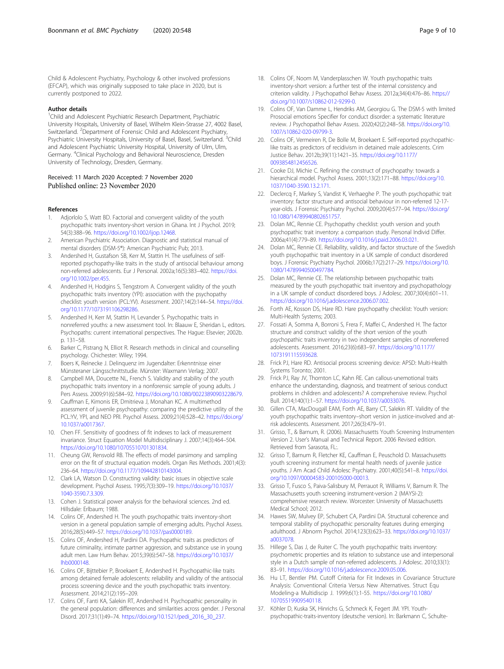<span id="page-8-0"></span>Child & Adolescent Psychiatry, Psychology & other involved professions (EFCAP), which was originally supposed to take place in 2020, but is currently postponed to 2022.

#### Author details

<sup>1</sup>Child and Adolescent Psychiatric Research Department, Psychiatric University Hospitals, University of Basel, Wilhelm Klein-Strasse 27, 4002 Basel, Switzerland. <sup>2</sup>Department of Forensic Child and Adolescent Psychiatry, Psychiatric University Hospitals, University of Basel, Basel, Switzerland. <sup>3</sup>Child and Adolescent Psychiatric University Hospital, University of Ulm, Ulm, Germany. <sup>4</sup>Clinical Psychology and Behavioral Neuroscience, Dresden University of Technology, Dresden, Germany.

#### Received: 11 March 2020 Accepted: 7 November 2020 Published online: 23 November 2020

#### References

- Adjorlolo S, Watt BD. Factorial and convergent validity of the youth psychopathic traits inventory-short version in Ghana. Int J Psychol. 2019; 54(3):388–96. [https://doi.org/10.1002/ijop.12468.](https://doi.org/10.1002/ijop.12468)
- 2. American Psychiatric Association. Diagnostic and statistical manual of mental disorders (DSM-5®): American Psychiatric Pub; 2013.
- 3. Andershed H, Gustafson SB, Kerr M, Stattin H. The usefulness of selfreported psychopathy-like traits in the study of antisocial behaviour among non-referred adolescents. Eur J Personal. 2002a;16(5):383–402. [https://doi.](https://doi.org/10.1002/per.455) [org/10.1002/per.455.](https://doi.org/10.1002/per.455)
- 4. Andershed H, Hodgins S, Tengstrom A. Convergent validity of the youth psychopathic traits inventory (YPI): association with the psychopathy checklist: youth version (PCL:YV). Assessment. 2007;14(2):144–54. [https://doi.](https://doi.org/10.1177/1073191106298286) [org/10.1177/1073191106298286.](https://doi.org/10.1177/1073191106298286)
- 5. Andershed H, Kerr M, Stattin H, Levander S. Psychopathic traits in nonreferred youths: a new assessment tool. In: Blaauw E, Sheridan L, editors. Psychopaths: current international perspectives. The Hague: Elsevier; 2002b. p. 131–58.
- 6. Barker C, Pistrang N, Elliot R. Research methods in clinical and counselling psychology. Chichester: Wiley; 1994.
- 7. Boers K, Reinecke J. Delinquenz im Jugendalter: Erkenntnisse einer Münsteraner Längsschnittstudie. Münster: Waxmann Verlag; 2007.
- Campbell MA, Doucette NL, French S. Validity and stability of the youth psychopathic traits inventory in a nonforensic sample of young adults. J Pers Assess. 2009;91(6):584–92. [https://doi.org/10.1080/00223890903228679.](https://doi.org/10.1080/00223890903228679)
- 9. Cauffman E, Kimonis ER, Dmitrieva J, Monahan KC. A multimethod assessment of juvenile psychopathy: comparing the predictive utility of the PCL:YV, YPI, and NEO PRI. Psychol Assess. 2009;21(4):528–42. [https://doi.org/](https://doi.org/10.1037/a0017367) [10.1037/a0017367.](https://doi.org/10.1037/a0017367)
- 10. Chen FF. Sensitivity of goodness of fit indexes to lack of measurement invariance. Struct Equation Model Multidisciplinary J. 2007;14(3):464–504. [https://doi.org/10.1080/10705510701301834.](https://doi.org/10.1080/10705510701301834)
- 11. Cheung GW, Rensvold RB. The effects of model parsimony and sampling error on the fit of structural equation models. Organ Res Methods. 2001;4(3): 236–64. <https://doi.org/10.1177/109442810143004>.
- 12. Clark LA, Watson D. Constructing validity: basic issues in objective scale development. Psychol Assess. 1995;7(3):309–19. [https://doi.org/10.1037/](https://doi.org/10.1037/1040-3590.7.3.309) [1040-3590.7.3.309.](https://doi.org/10.1037/1040-3590.7.3.309)
- 13. Cohen J. Statistical power analysis for the behavioral sciences. 2nd ed. Hillsdale: Erlbaum; 1988.
- 14. Colins OF, Andershed H. The youth psychopathic traits inventory-short version in a general population sample of emerging adults. Psychol Assess. 2016;28(5):449–57. <https://doi.org/10.1037/pas0000189>.
- 15. Colins OF, Andershed H, Pardini DA. Psychopathic traits as predictors of future criminality, intimate partner aggression, and substance use in young adult men. Law Hum Behav. 2015;39(6):547–58. [https://doi.org/10.1037/](https://doi.org/10.1037/lhb0000148) [lhb0000148.](https://doi.org/10.1037/lhb0000148)
- 16. Colins OF, Bijttebier P, Broekaert E, Andershed H. Psychopathic-like traits among detained female adolescents: reliability and validity of the antisocial process screening device and the youth psychopathic traits inventory. Assessment. 2014;21(2):195–209.
- 17. Colins OF, Fanti KA, Salekin RT, Andershed H. Psychopathic personality in the general population: differences and similarities across gender. J Personal Disord. 2017;31(1):49–74. [https://doi.org/10.1521/pedi\\_2016\\_30\\_237](https://doi.org/10.1521/pedi_2016_30_237).
- 18. Colins OF, Noom M, Vanderplasschen W. Youth psychopathic traits inventory-short version: a further test of the internal consistency and criterion validity. J Psychopathol Behav Assess. 2012a;34(4):476–86. [https://](https://doi.org/10.1007/s10862-012-9299-0) [doi.org/10.1007/s10862-012-9299-0.](https://doi.org/10.1007/s10862-012-9299-0)
- 19. Colins OF, Van Damme L, Hendriks AM, Georgiou G. The DSM-5 with limited Prosocial emotions Specifier for conduct disorder: a systematic literature review. J Psychopathol Behav Assess. 2020;42(2):248–58. [https://doi.org/10.](https://doi.org/10.1007/s10862-020-09799-3) [1007/s10862-020-09799-3](https://doi.org/10.1007/s10862-020-09799-3).
- 20. Colins OF, Vermeiren R, De Bolle M, Broekaert E. Self-reported psychopathiclike traits as predictors of recidivism in detained male adolescents. Crim Justice Behav. 2012b;39(11):1421–35. [https://doi.org/10.1177/](https://doi.org/10.1177/0093854812456526) [0093854812456526](https://doi.org/10.1177/0093854812456526)
- 21. Cooke DJ, Michie C. Refining the construct of psychopathy: towards a hierarchical model. Psychol Assess. 2001;13(2):171–88. [https://doi.org/10.](https://doi.org/10.1037/1040-3590.13.2.171) [1037/1040-3590.13.2.171](https://doi.org/10.1037/1040-3590.13.2.171).
- 22. Declercq F, Markey S, Vandist K, Verhaeghe P. The youth psychopathic trait inventory: factor structure and antisocial behaviour in non-referred 12-17 year-olds. J Forensic Psychiatry Psychol. 2009;20(4):577–94. [https://doi.org/](https://doi.org/10.1080/14789940802651757) [10.1080/14789940802651757.](https://doi.org/10.1080/14789940802651757)
- 23. Dolan MC, Rennie CE. Psychopathy checklist: youth version and youth psychopathic trait inventory: a comparison study. Personal Individ Differ. 2006a;41(4):779–89. <https://doi.org/10.1016/j.paid.2006.03.021>.
- 24. Dolan MC, Rennie CE. Reliability, validity, and factor structure of the Swedish youth psychopathic trait inventory in a UK sample of conduct disordered boys. J Forensic Psychiatry Psychol. 2006b;17(2):217–29. [https://doi.org/10.](https://doi.org/10.1080/14789940500497784) [1080/14789940500497784.](https://doi.org/10.1080/14789940500497784)
- 25. Dolan MC, Rennie CE. The relationship between psychopathic traits measured by the youth psychopathic trait inventory and psychopathology in a UK sample of conduct disordered boys. J Adolesc. 2007;30(4):601–11. <https://doi.org/10.1016/j.adolescence.2006.07.002>.
- 26. Forth AE, Kosson DS, Hare RD. Hare psychopathy checklist: Youth version: Multi-Health Systems; 2003.
- 27. Fossati A, Somma A, Borroni S, Frera F, Maffei C, Andershed H. The factor structure and construct validity of the short version of the youth psychopathic traits inventory in two independent samples of nonreferred adolescents. Assessment. 2016;23(6):683–97. [https://doi.org/10.1177/](https://doi.org/10.1177/1073191115593628) [1073191115593628](https://doi.org/10.1177/1073191115593628).
- 28. Frick PJ, Hare RD. Antisocial process screening device: APSD: Multi-Health Systems Toronto; 2001.
- 29. Frick PJ, Ray JV, Thornton LC, Kahn RE. Can callous-unemotional traits enhance the understanding, diagnosis, and treatment of serious conduct problems in children and adolescents? A comprehensive review. Psychol Bull. 2014;140(1):1–57. <https://doi.org/10.1037/a0033076>.
- 30. Gillen CTA, MacDougall EAM, Forth AE, Barry CT, Salekin RT. Validity of the youth psychopathic traits inventory–short version in justice-involved and atrisk adolescents. Assessment. 2017;26(3):479–91.
- 31. Grisso, T., & Barnum, R. (2006). Massachusetts Youth Screening Instrumenten Version 2. User's Manual and Technical Report. 2006 Revised edition. Retrieved from Sarasota, FL:.
- 32. Grisso T, Barnum R, Fletcher KE, Cauffman E, Peuschold D. Massachusetts youth screening instrument for mental health needs of juvenile justice youths. J Am Acad Child Adolesc Psychiatry. 2001;40(5):541–8. [https://doi.](https://doi.org/10.1097/00004583-200105000-00013) [org/10.1097/00004583-200105000-00013](https://doi.org/10.1097/00004583-200105000-00013).
- 33. Grisso T, Fusco S, Paiva-Salisbury M, Perrauot R, Williams V, Barnum R. The Massachusetts youth screening instrument-version 2 (MAYSI-2): comprehensive research review. Worcester: University of Massachusetts Medical School; 2012.
- 34. Hawes SW, Mulvey EP, Schubert CA, Pardini DA. Structural coherence and temporal stability of psychopathic personality features during emerging adulthood. J Abnorm Psychol. 2014;123(3):623–33. [https://doi.org/10.1037/](https://doi.org/10.1037/a0037078) [a0037078.](https://doi.org/10.1037/a0037078)
- 35. Hillege S, Das J, de Ruiter C. The youth psychopathic traits inventory: psychometric properties and its relation to substance use and interpersonal style in a Dutch sample of non-referred adolescents. J Adolesc. 2010;33(1): 83–91. [https://doi.org/10.1016/j.adolescence.2009.05.006.](https://doi.org/10.1016/j.adolescence.2009.05.006)
- 36. Hu LT, Bentler PM. Cutoff Criteria for Fit Indexes in Covariance Structure Analysis: Conventional Criteria Versus New Alternatives. Struct Equ Modeling-a Multidiscip J. 1999;6(1):1-55. [https://doi.org/10.1080/](https://doi.org/10.1080/10705519909540118) [10705519909540118](https://doi.org/10.1080/10705519909540118).
- 37. Köhler D, Kuska SK, Hinrichs G, Schmeck K, Fegert JM. YPI. Youthpsychopathic-traits-inventory (deutsche version). In: Barkmann C, Schulte-